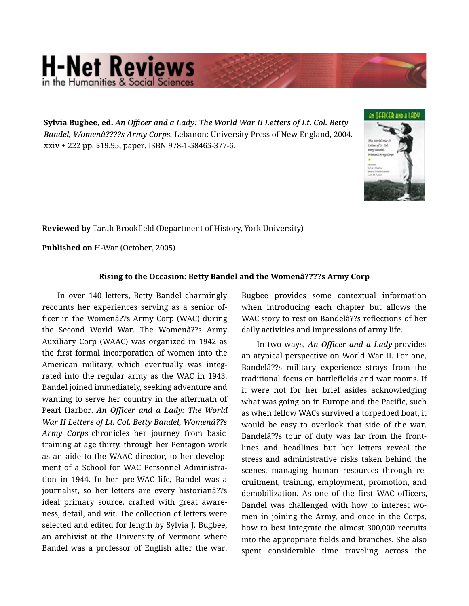## **H-Net Reviews** in the Humanities & Social Sciene

**Sylvia Bugbee, ed.** *An Officer and a Lady: The World War II Letters of Lt. Col. Betty Bandel, Womenâ????s Army Corps.* Lebanon: University Press of New England, 2004. xxiv + 222 pp. \$19.95, paper, ISBN 978-1-58465-377-6.



**Reviewed by** Tarah Brookfield (Department of History, York University)

**Published on** H-War (October, 2005)

## **Rising to the Occasion: Betty Bandel and the Womenâ????s Army Corp**

In over 140 letters, Betty Bandel charmingly recounts her experiences serving as a senior of‐ ficer in the Womenâ??s Army Corp (WAC) during the Second World War. The Womenâ??s Army Auxiliary Corp (WAAC) was organized in 1942 as the first formal incorporation of women into the American military, which eventually was integ‐ rated into the regular army as the WAC in 1943. Bandel joined immediately, seeking adventure and wanting to serve her country in the aftermath of Pearl Harbor. *An Officer and a Lady: The World War II Letters of Lt. Col. Betty Bandel, Womenâ??s Army Corps* chronicles her journey from basic training at age thirty, through her Pentagon work as an aide to the WAAC director, to her develop‐ ment of a School for WAC Personnel Administration in 1944. In her pre-WAC life, Bandel was a journalist, so her letters are every historianâ??s ideal primary source, crafted with great aware‐ ness, detail, and wit. The collection of letters were selected and edited for length by Sylvia J. Bugbee, an archivist at the University of Vermont where Bandel was a professor of English after the war.

Bugbee provides some contextual information when introducing each chapter but allows the WAC story to rest on Bandelâ??s reflections of her daily activities and impressions of army life.

In two ways, *An Officer and a Lady* provides an atypical perspective on World War II. For one, Bandelâ??s military experience strays from the traditional focus on battlefields and war rooms. If it were not for her brief asides acknowledging what was going on in Europe and the Pacific, such as when fellow WACs survived a torpedoed boat, it would be easy to overlook that side of the war. Bandelâ??s tour of duty was far from the front‐ lines and headlines but her letters reveal the stress and administrative risks taken behind the scenes, managing human resources through re‐ cruitment, training, employment, promotion, and demobilization. As one of the first WAC officers, Bandel was challenged with how to interest wo‐ men in joining the Army, and once in the Corps, how to best integrate the almost 300,000 recruits into the appropriate fields and branches. She also spent considerable time traveling across the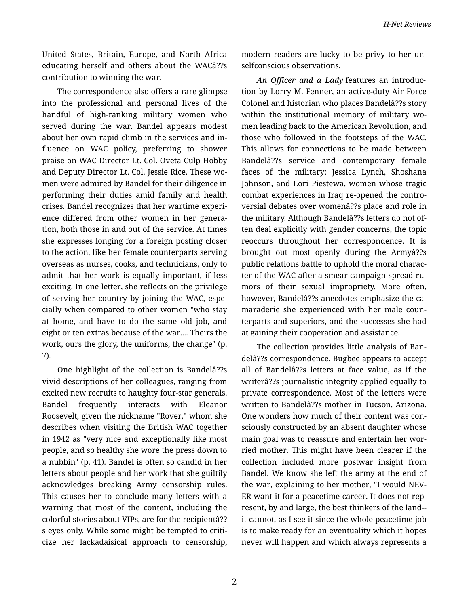United States, Britain, Europe, and North Africa educating herself and others about the WACâ??s contribution to winning the war.

The correspondence also offers a rare glimpse into the professional and personal lives of the handful of high-ranking military women who served during the war. Bandel appears modest about her own rapid climb in the services and in‐ fluence on WAC policy, preferring to shower praise on WAC Director Lt. Col. Oveta Culp Hobby and Deputy Director Lt. Col. Jessie Rice. These wo‐ men were admired by Bandel for their diligence in performing their duties amid family and health crises. Bandel recognizes that her wartime experi‐ ence differed from other women in her genera‐ tion, both those in and out of the service. At times she expresses longing for a foreign posting closer to the action, like her female counterparts serving overseas as nurses, cooks, and technicians, only to admit that her work is equally important, if less exciting. In one letter, she reflects on the privilege of serving her country by joining the WAC, espe‐ cially when compared to other women "who stay at home, and have to do the same old job, and eight or ten extras because of the war.... Theirs the work, ours the glory, the uniforms, the change" (p. 7).

One highlight of the collection is Bandelâ??s vivid descriptions of her colleagues, ranging from excited new recruits to haughty four-star generals. Bandel frequently interacts with Eleanor Roosevelt, given the nickname "Rover," whom she describes when visiting the British WAC together in 1942 as "very nice and exceptionally like most people, and so healthy she wore the press down to a nubbin" (p. 41). Bandel is often so candid in her letters about people and her work that she guiltily acknowledges breaking Army censorship rules. This causes her to conclude many letters with a warning that most of the content, including the colorful stories about VIPs, are for the recipientâ?? s eyes only. While some might be tempted to criti‐ cize her lackadaisical approach to censorship, modern readers are lucky to be privy to her un‐ selfconscious observations.

*An Officer and a Lady* features an introduc‐ tion by Lorry M. Fenner, an active-duty Air Force Colonel and historian who places Bandelâ??s story within the institutional memory of military women leading back to the American Revolution, and those who followed in the footsteps of the WAC. This allows for connections to be made between Bandelâ??s service and contemporary female faces of the military: Jessica Lynch, Shoshana Johnson, and Lori Piestewa, women whose tragic combat experiences in Iraq re-opened the contro‐ versial debates over womenâ??s place and role in the military. Although Bandelâ??s letters do not of‐ ten deal explicitly with gender concerns, the topic reoccurs throughout her correspondence. It is brought out most openly during the Armyâ??s public relations battle to uphold the moral charac‐ ter of the WAC after a smear campaign spread ru‐ mors of their sexual impropriety. More often, however, Bandelâ??s anecdotes emphasize the ca‐ maraderie she experienced with her male coun‐ terparts and superiors, and the successes she had at gaining their cooperation and assistance.

The collection provides little analysis of Ban‐ delâ??s correspondence. Bugbee appears to accept all of Bandelâ??s letters at face value, as if the writerâ??s journalistic integrity applied equally to private correspondence. Most of the letters were written to Bandelâ??s mother in Tucson, Arizona. One wonders how much of their content was con‐ sciously constructed by an absent daughter whose main goal was to reassure and entertain her wor‐ ried mother. This might have been clearer if the collection included more postwar insight from Bandel. We know she left the army at the end of the war, explaining to her mother, "I would NEV‐ ER want it for a peacetime career. It does not rep‐ resent, by and large, the best thinkers of the land- it cannot, as I see it since the whole peacetime job is to make ready for an eventuality which it hopes never will happen and which always represents a